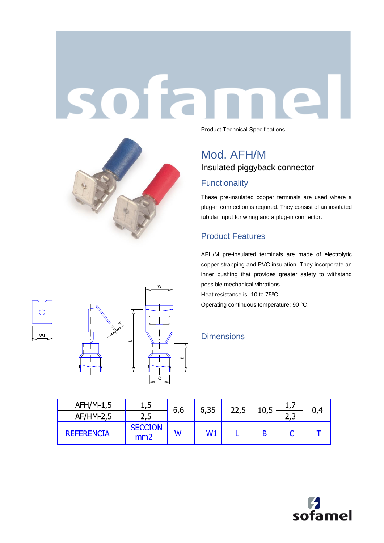# Ta



Product Technical Specifications

# Mod. AFH/M Insulated piggyback connector

# **Functionality**

These pre-insulated copper terminals are used where a plug-in connection is required. They consist of an insulated tubular input for wiring and a plug-in connector.

# Product Features

AFH/M pre-insulated terminals are made of electrolytic copper strapping and PVC insulation. They incorporate an inner bushing that provides greater safety to withstand possible mechanical vibrations. Heat resistance is -10 to 75ºC.

Operating continuous temperature: 90 °C.

# **Dimensions**

| AFH/M-1,5         |                       | 6,6 | 6,35           | 22,5 | 10,5 | .,,       | 0,4 |
|-------------------|-----------------------|-----|----------------|------|------|-----------|-----|
| AF/HM-2,5         | 2,5                   |     |                |      |      | າາ<br>ر ے |     |
| <b>REFERENCIA</b> | <b>SECCION</b><br>mm2 | w   | W <sub>1</sub> |      |      |           |     |







W